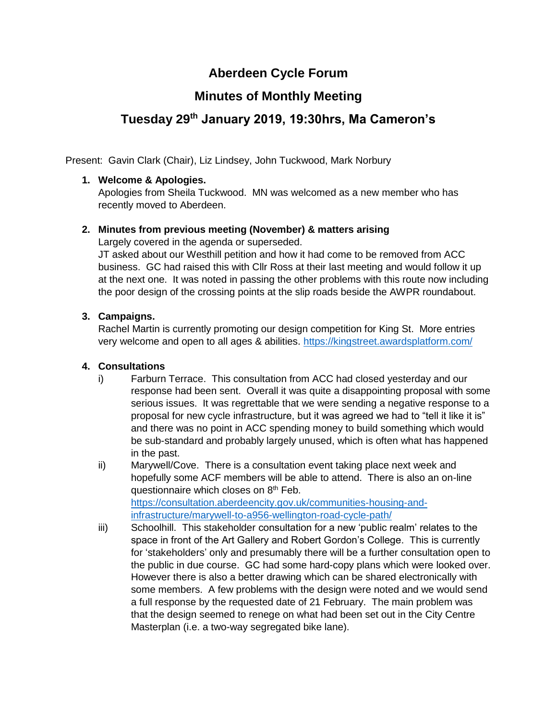# **Aberdeen Cycle Forum**

# **Minutes of Monthly Meeting**

# **Tuesday 29th January 2019, 19:30hrs, Ma Cameron's**

Present: Gavin Clark (Chair), Liz Lindsey, John Tuckwood, Mark Norbury

## **1. Welcome & Apologies.**

Apologies from Sheila Tuckwood. MN was welcomed as a new member who has recently moved to Aberdeen.

## **2. Minutes from previous meeting (November) & matters arising**

Largely covered in the agenda or superseded.

JT asked about our Westhill petition and how it had come to be removed from ACC business. GC had raised this with Cllr Ross at their last meeting and would follow it up at the next one. It was noted in passing the other problems with this route now including the poor design of the crossing points at the slip roads beside the AWPR roundabout.

## **3. Campaigns.**

Rachel Martin is currently promoting our design competition for King St. More entries very welcome and open to all ages & abilities.<https://kingstreet.awardsplatform.com/>

#### **4. Consultations**

- i) Farburn Terrace. This consultation from ACC had closed yesterday and our response had been sent. Overall it was quite a disappointing proposal with some serious issues. It was regrettable that we were sending a negative response to a proposal for new cycle infrastructure, but it was agreed we had to "tell it like it is" and there was no point in ACC spending money to build something which would be sub-standard and probably largely unused, which is often what has happened in the past.
- ii) Marywell/Cove. There is a consultation event taking place next week and hopefully some ACF members will be able to attend. There is also an on-line questionnaire which closes on  $8<sup>th</sup>$  Feb. [https://consultation.aberdeencity.gov.uk/communities-housing-and](https://consultation.aberdeencity.gov.uk/communities-housing-and-infrastructure/marywell-to-a956-wellington-road-cycle-path/)[infrastructure/marywell-to-a956-wellington-road-cycle-path/](https://consultation.aberdeencity.gov.uk/communities-housing-and-infrastructure/marywell-to-a956-wellington-road-cycle-path/)
- iii) Schoolhill. This stakeholder consultation for a new 'public realm' relates to the space in front of the Art Gallery and Robert Gordon's College. This is currently for 'stakeholders' only and presumably there will be a further consultation open to the public in due course. GC had some hard-copy plans which were looked over. However there is also a better drawing which can be shared electronically with some members. A few problems with the design were noted and we would send a full response by the requested date of 21 February. The main problem was that the design seemed to renege on what had been set out in the City Centre Masterplan (i.e. a two-way segregated bike lane).